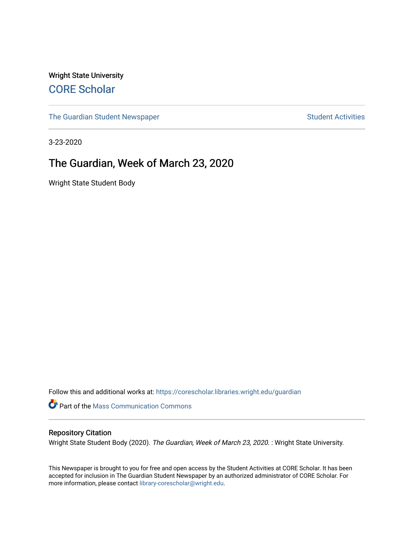Wright State University [CORE Scholar](https://corescholar.libraries.wright.edu/)

[The Guardian Student Newspaper](https://corescholar.libraries.wright.edu/guardian) Student Activities

3-23-2020

#### The Guardian, Week of March 23, 2020

Wright State Student Body

Follow this and additional works at: [https://corescholar.libraries.wright.edu/guardian](https://corescholar.libraries.wright.edu/guardian?utm_source=corescholar.libraries.wright.edu%2Fguardian%2F2422&utm_medium=PDF&utm_campaign=PDFCoverPages)

Part of the [Mass Communication Commons](http://network.bepress.com/hgg/discipline/334?utm_source=corescholar.libraries.wright.edu%2Fguardian%2F2422&utm_medium=PDF&utm_campaign=PDFCoverPages) 

#### Repository Citation

Wright State Student Body (2020). The Guardian, Week of March 23, 2020. : Wright State University.

This Newspaper is brought to you for free and open access by the Student Activities at CORE Scholar. It has been accepted for inclusion in The Guardian Student Newspaper by an authorized administrator of CORE Scholar. For more information, please contact [library-corescholar@wright.edu.](mailto:library-corescholar@wright.edu)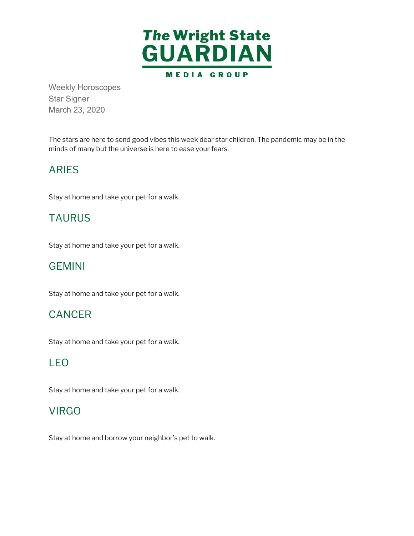

Weekly Horoscopes Star Signer March 23, 2020

 The stars are here to send good vibes this week dear star children. The pandemic may be in the minds of many but the universe is here to ease your fears.

# ARIES

Stay at home and take your pet for a walk.

### TAURUS

Stay at home and take your pet for a walk.

#### GEMINI

Stay at home and take your pet for a walk.

#### **CANCER**

Stay at home and take your pet for a walk.

#### LEO

Stay at home and take your pet for a walk.

# **VIRGO**

Stay at home and borrow your neighbor's pet to walk.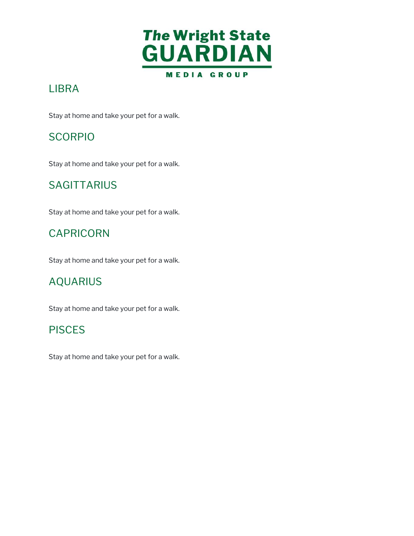

# LIBRA

Stay at home and take your pet for a walk.

# **SCORPIO**

Stay at home and take your pet for a walk.

### **SAGITTARIUS**

Stay at home and take your pet for a walk.

# CAPRICORN

Stay at home and take your pet for a walk.

# AQUARIUS

Stay at home and take your pet for a walk.

#### **PISCES**

Stay at home and take your pet for a walk.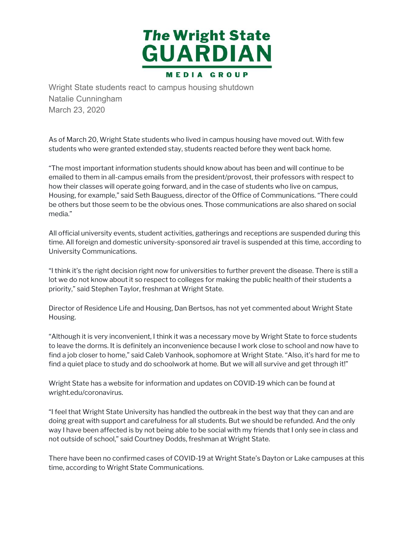

Wright State students react to campus housing shutdown Natalie Cunningham March 23, 2020

 As of March 20, Wright State students who lived in campus housing have moved out. With few students who were granted extended stay, students reacted before they went back home.

 "The most important information students should know about has been and will continue to be emailed to them in all-campus emails from the president/provost, their professors with respect to how their classes will operate going forward, and in the case of students who live on campus, Housing, for example," said Seth Bauguess, director of the Office of Communications. "There could be others but those seem to be the obvious ones. Those communications are also shared on social media."

 All official university events, student activities, gatherings and receptions are suspended during this time. All foreign and domestic university-sponsored air travel is suspended at this time, according to University Communications.

 "I think it's the right decision right now for universities to further prevent the disease. There is still a lot we do not know about it so respect to colleges for making the public health of their students a priority," said Stephen Taylor, freshman at Wright State.

 Director of Residence Life and Housing, Dan Bertsos, has not yet commented about Wright State Housing.

 "Although it is very inconvenient, I think it was a necessary move by Wright State to force students to leave the dorms. It is definitely an inconvenience because I work close to school and now have to find a job closer to home," said Caleb Vanhook, sophomore at Wright State. "Also, it's hard for me to find a quiet place to study and do schoolwork at home. But we will all survive and get through it!"

 Wright State has a website for information and updates on COVID-19 which can be found at [wright.edu/coronavirus](https://wright.edu/coronavirus).

 "I feel that Wright State University has handled the outbreak in the best way that they can and are doing great with support and carefulness for all students. But we should be refunded. And the only way I have been affected is by not being able to be social with my friends that I only see in class and not outside of school," said Courtney Dodds, freshman at Wright State.

 There have been no confirmed cases of COVID-19 at Wright State's Dayton or Lake campuses at this time, according to Wright State Communications.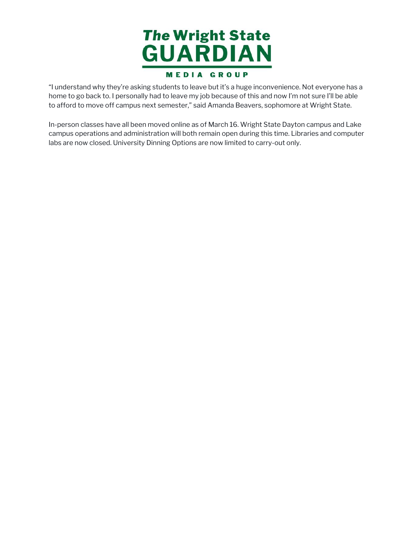

 "I understand why they're asking students to leave but it's a huge inconvenience. Not everyone has a home to go back to. I personally had to leave my job because of this and now I'm not sure I'll be able to afford to move off campus next semester," said Amanda Beavers, sophomore at Wright State.

 In-person classes have all been moved online as of March 16. Wright State Dayton campus and Lake campus operations and administration will both remain open during this time. Libraries and computer labs are now closed. University Dinning Options are now limited to carry-out only.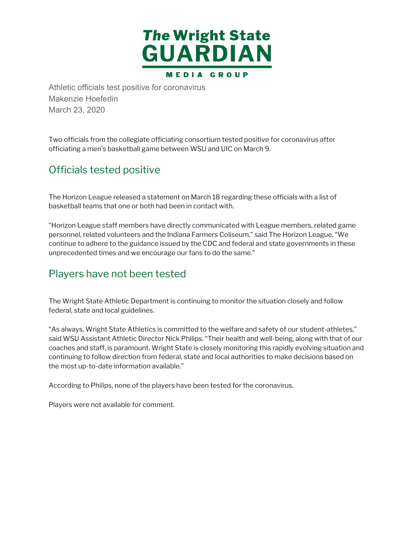

Athletic officials test positive for coronavirus Makenzie Hoeferlin March 23, 2020

 Two officials from the collegiate officiating consortium tested positive for coronavirus after officiating a men's basketball game between WSU and UIC on March 9.

### Officials tested positive

 The Horizon League released a statement on March 18 regarding these officials with a list of basketball teams that one or both had been in contact with.

 "Horizon League staff members have directly communicated with League members, related game personnel, related volunteers and the Indiana Farmers Coliseum," said The Horizon League. "We continue to adhere to the guidance issued by the CDC and federal and state governments in these unprecedented times and we encourage our fans to do the same."

#### Players have not been tested

 The Wright State Athletic Department is continuing to monitor the situation closely and follow federal, state and local guidelines.

 "As always, Wright State Athletics is committed to the welfare and safety of our student-athletes," said WSU Assistant Athletic Director Nick Philips. "Their health and well-being, along with that of our coaches and staff, is paramount. Wright State is closely monitoring this rapidly evolving situation and continuing to follow direction from federal, state and local authorities to make decisions based on the most up-to-date information available."

According to Philips, none of the players have been tested for the coronavirus.

Players were not available for comment.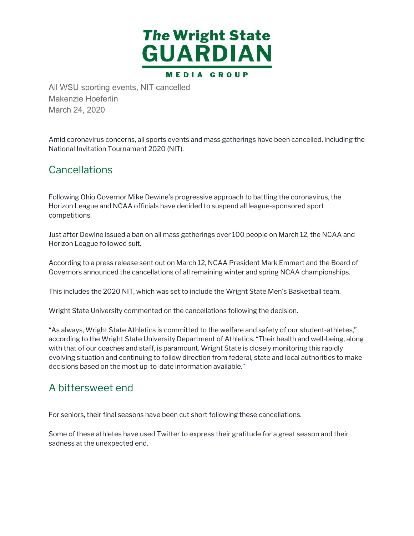

All WSU sporting events, NIT cancelled Makenzie Hoeferlin March 24, 2020

 Amid coronavirus concerns, all sports events and mass gatherings have been cancelled, including the National Invitation Tournament 2020 (NIT).

#### **Cancellations**

 Following Ohio Governor Mike Dewine's progressive approach to battling the coronavirus, the Horizon League and NCAA officials have decided to suspend all league-sponsored sport competitions.

 Just after Dewine issued a ban on all mass gatherings over 100 people on March 12, the NCAA and Horizon League followed suit.

 According to a press release sent out on March 12, NCAA President Mark Emmert and the Board of Governors announced the cancellations of all remaining winter and spring NCAA championships.

This includes the 2020 NIT, which was set to include the Wright State Men's Basketball team.

Wright State University commented on the cancellations following the decision.

 "As always, Wright State Athletics is committed to the welfare and safety of our student-athletes," according to the Wright State University Department of Athletics. "Their health and well-being, along with that of our coaches and staff, is paramount. Wright State is closely monitoring this rapidly evolving situation and continuing to follow direction from federal, state and local authorities to make decisions based on the most up-to-date information available."

#### A bittersweet end

For seniors, their final seasons have been cut short following these cancellations.

 Some of these athletes have used Twitter to express their gratitude for a great season and their sadness at the unexpected end.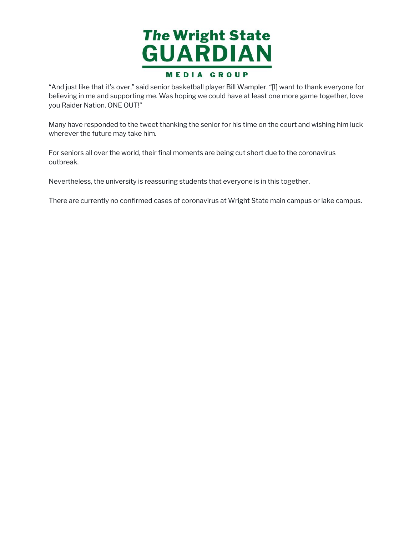

 "And just like that it's over," said senior basketball player Bill Wampler. "[I] want to thank everyone for believing in me and supporting me. Was hoping we could have at least one more game together, love you Raider Nation. ONE OUT!"

 Many have responded to the tweet thanking the senior for his time on the court and wishing him luck wherever the future may take him.

 For seniors all over the world, their final moments are being cut short due to the coronavirus outbreak.

Nevertheless, the university is reassuring students that everyone is in this together.

There are currently no confirmed cases of coronavirus at Wright State main campus or lake campus.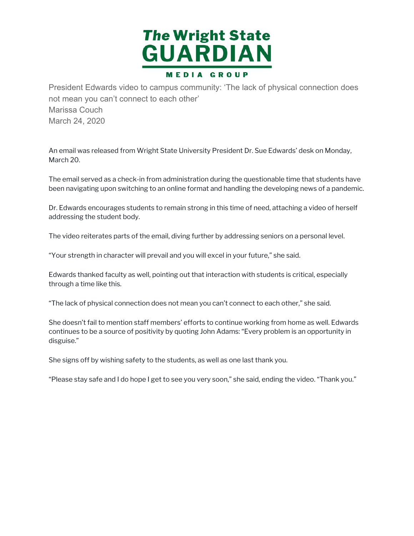

President Edwards video to campus community: 'The lack of physical connection does not mean you can't connect to each other' Marissa Couch March 24, 2020

 An email was released from Wright State University President Dr. Sue Edwards' desk on Monday, March 20.

 The email served as a check-in from administration during the questionable time that students have been navigating upon switching to an online format and handling the developing news of a pandemic.

 Dr. Edwards encourages students to remain strong in this time of need, attaching a video of herself addressing the student body.

The video reiterates parts of the email, diving further by addressing seniors on a personal level.

"Your strength in character will prevail and you will excel in your future," she said.

 Edwards thanked faculty as well, pointing out that interaction with students is critical, especially through a time like this.

"The lack of physical connection does not mean you can't connect to each other," she said.

 She doesn't fail to mention staff members' efforts to continue working from home as well. Edwards continues to be a source of positivity by quoting John Adams: "Every problem is an opportunity in disguise."

She signs off by wishing safety to the students, as well as one last thank you.

"Please stay safe and I do hope I get to see you very soon," she said, ending the video. "Thank you."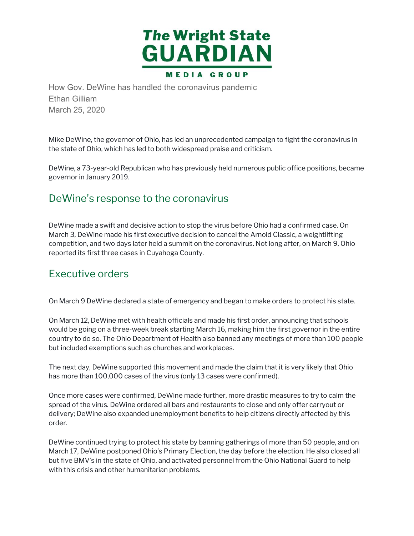

How Gov. DeWine has handled the coronavirus pandemic Ethan Gilliam March 25, 2020

 Mike DeWine, the governor of Ohio, has led an unprecedented campaign to fight the coronavirus in the state of Ohio, which has led to both widespread praise and criticism.

 DeWine, a 73-year-old Republican who has previously held numerous public office positions, became governor in January 2019.

#### DeWine's response to the coronavirus

 DeWine made a swift and decisive action to stop the virus before Ohio had a confirmed case. On March 3, DeWine made his first executive decision to cancel the Arnold Classic, a weightlifting competition, and two days later held a summit on the coronavirus. Not long after, on March 9, Ohio reported its first three cases in Cuyahoga County.

#### Executive orders

On March 9 DeWine declared a state of emergency and began to make orders to protect his state.

 On March 12, DeWine met with health officials and made his first order, announcing that schools would be going on a three-week break starting March 16, making him the first governor in the entire country to do so. The Ohio Department of Health also banned any meetings of more than 100 people but included exemptions such as churches and workplaces.

 The next day, DeWine supported this movement and made the claim that it is very likely that Ohio has more than 100,000 cases of the virus (only 13 cases were confirmed).

 Once more cases were confirmed, DeWine made further, more drastic measures to try to calm the spread of the virus. DeWine ordered all bars and restaurants to close and only offer carryout or delivery; DeWine also expanded unemployment benefits to help citizens directly affected by this order.

 DeWine continued trying to protect his state by banning gatherings of more than 50 people, and on March 17, DeWine postponed Ohio's Primary Election, the day before the election. He also closed all but five BMV's in the state of Ohio, and activated personnel from the Ohio National Guard to help with this crisis and other humanitarian problems.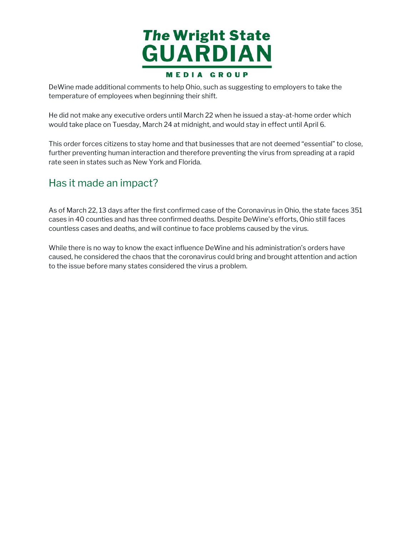

 DeWine made additional comments to help Ohio, such as suggesting to employers to take the temperature of employees when beginning their shift.

 He did not make any executive orders until March 22 when he issued a stay-at-home order which would take place on Tuesday, March 24 at midnight, and would stay in effect until April 6.

 This order forces citizens to stay home and that businesses that are not deemed "essential" to close, further preventing human interaction and therefore preventing the virus from spreading at a rapid rate seen in states such as New York and Florida.

#### Has it made an impact?

 As of March 22, 13 days after the first confirmed case of the Coronavirus in Ohio, the state faces 351 cases in 40 counties and has three confirmed deaths. Despite DeWine's efforts, Ohio still faces countless cases and deaths, and will continue to face problems caused by the virus.

 While there is no way to know the exact influence DeWine and his administration's orders have caused, he considered the chaos that the coronavirus could bring and brought attention and action to the issue before many states considered the virus a problem.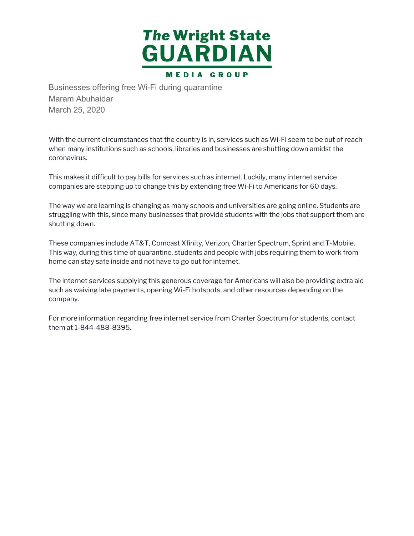

Businesses offering free Wi-Fi during quarantine Maram Abuhaidar March 25, 2020

 With the current circumstances that the country is in, services such as Wi-Fi seem to be out of reach when many institutions such as schools, libraries and businesses are shutting down amidst the coronavirus.

 This makes it difficult to pay bills for services such as internet. Luckily, many internet service companies are stepping up to change this by extending free Wi-Fi to Americans for 60 days.

 The way we are learning is changing as many schools and universities are going online. Students are struggling with this, since many businesses that provide students with the jobs that support them are shutting down.

 These companies include AT&T, Comcast Xfinity, Verizon, Charter Spectrum, Sprint and T-Mobile. This way, during this time of quarantine, students and people with jobs requiring them to work from home can stay safe inside and not have to go out for internet.

 The internet services supplying this generous coverage for Americans will also be providing extra aid such as waiving late payments, opening Wi-Fi hotspots, and other resources depending on the company.

 For more information regarding free internet service from Charter Spectrum for students, contact them at 1-844-488-8395.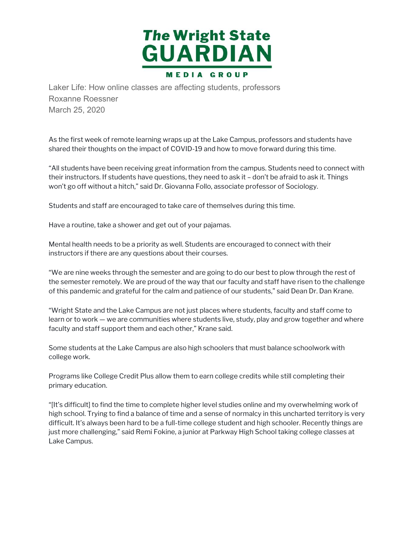

Laker Life: How online classes are affecting students, professors Roxanne Roessner March 25, 2020

 As the first week of remote learning wraps up at the Lake Campus, professors and students have shared their thoughts on the impact of COVID-19 and how to move forward during this time.

 "All students have been receiving great information from the campus. Students need to connect with their instructors. If students have questions, they need to ask it – don't be afraid to ask it. Things won't go off without a hitch," said Dr. Giovanna Follo, associate professor of Sociology.

Students and staff are encouraged to take care of themselves during this time.

Have a routine, take a shower and get out of your pajamas.

 Mental health needs to be a priority as well. Students are encouraged to connect with their instructors if there are any questions about their courses.

 "We are nine weeks through the semester and are going to do our best to plow through the rest of the semester remotely. We are proud of the way that our faculty and staff have risen to the challenge of this pandemic and grateful for the calm and patience of our students," said Dean Dr. Dan Krane.

 "Wright State and the Lake Campus are not just places where students, faculty and staff come to learn or to work — we are communities where students live, study, play and grow together and where faculty and staff support them and each other," Krane said.

 Some students at the Lake Campus are also high schoolers that must balance schoolwork with college work.

 Programs like College Credit Plus allow them to earn college credits while still completing their primary education.

 "[It's difficult] to find the time to complete higher level studies online and my overwhelming work of high school. Trying to find a balance of time and a sense of normalcy in this uncharted territory is very difficult. It's always been hard to be a full-time college student and high schooler. Recently things are just more challenging," said Remi Fokine, a junior at Parkway High School taking college classes at Lake Campus.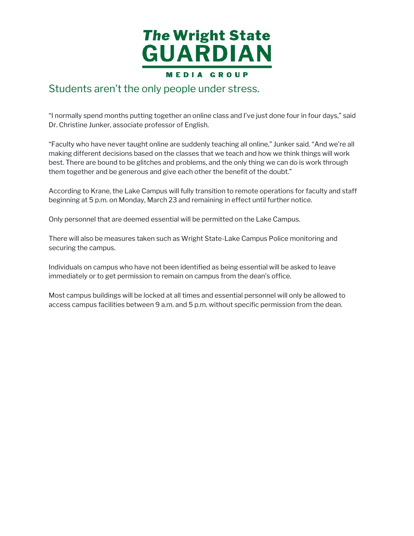

#### Students aren't the only people under stress.

 "I normally spend months putting together an online class and I've just done four in four days," said Dr. Christine Junker, associate professor of English.

 "Faculty who have never taught online are suddenly teaching all online," Junker said. "And we're all making different decisions based on the classes that we teach and how we think things will work best. There are bound to be glitches and problems, and the only thing we can do is work through them together and be generous and give each other the benefit of the doubt."

 According to Krane, the Lake Campus will fully transition to remote operations for faculty and staff beginning at 5 p.m. on Monday, March 23 and remaining in effect until further notice.

Only personnel that are deemed essential will be permitted on the Lake Campus.

 There will also be measures taken such as Wright State-Lake Campus Police monitoring and securing the campus.

 Individuals on campus who have not been identified as being essential will be asked to leave immediately or to get permission to remain on campus from the dean's office.

 Most campus buildings will be locked at all times and essential personnel will only be allowed to access campus facilities between 9 a.m. and 5 p.m. without specific permission from the dean.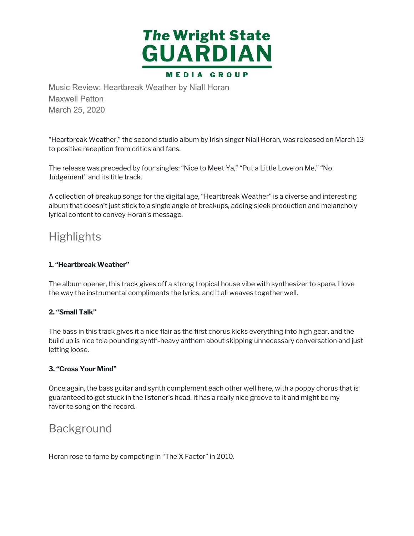

Music Review: Heartbreak Weather by Niall Horan Maxwell Patton March 25, 2020

 "Heartbreak Weather," the second studio album by Irish singer Niall Horan, was released on March 13 to positive reception from critics and fans.

 The release was preceded by four singles: "Nice to Meet Ya," "Put a Little Love on Me," "No Judgement" and its title track.

 A collection of breakup songs for the digital age, "Heartbreak Weather" is a diverse and interesting album that doesn't just stick to a single angle of breakups, adding sleek production and melancholy lyrical content to convey Horan's message.

# **Highlights**

#### **1. "Heartbreak Weather"**

 The album opener, this track gives off a strong tropical house vibe with synthesizer to spare. I love the way the instrumental compliments the lyrics, and it all weaves together well.

#### **2. "Small Talk"**

 The bass in this track gives it a nice flair as the first chorus kicks everything into high gear, and the build up is nice to a pounding synth-heavy anthem about skipping unnecessary conversation and just letting loose.

#### **3. "Cross Your Mind"**

 Once again, the bass guitar and synth complement each other well here, with a poppy chorus that is guaranteed to get stuck in the listener's head. It has a really nice groove to it and might be my favorite song on the record.

#### **Background**

Horan rose to fame by competing in "The X Factor" in 2010.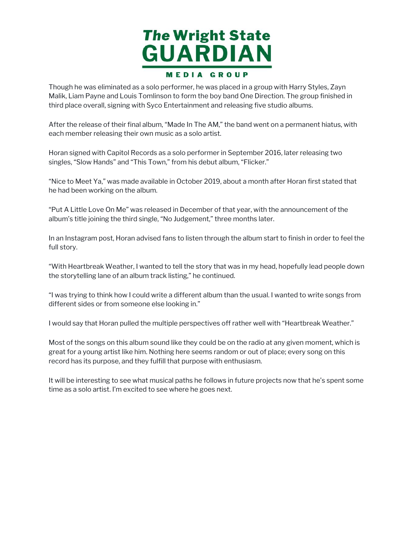

 Though he was eliminated as a solo performer, he was placed in a group with Harry Styles, Zayn Malik, Liam Payne and Louis Tomlinson to form the boy band One Direction. The group finished in third place overall, signing with Syco Entertainment and releasing five studio albums.

 After the release of their final album, "Made In The AM," the band went on a permanent hiatus, with each member releasing their own music as a solo artist.

 Horan signed with Capitol Records as a solo performer in September 2016, later releasing two singles, "Slow Hands" and "This Town," from his debut album, "Flicker."

 "Nice to Meet Ya," was made available in October 2019, about a month after Horan first stated that he had been working on the album.

 "Put A Little Love On Me" was released in December of that year, with the announcement of the album's title joining the third single, "No Judgement," three months later.

 In an Instagram post, Horan advised fans to listen through the album start to finish in order to feel the full story.

 "With Heartbreak Weather, I wanted to tell the story that was in my head, hopefully lead people down the storytelling lane of an album track listing," he continued.

 "I was trying to think how I could write a different album than the usual. I wanted to write songs from different sides or from someone else looking in."

I would say that Horan pulled the multiple perspectives off rather well with "Heartbreak Weather."

 Most of the songs on this album sound like they could be on the radio at any given moment, which is great for a young artist like him. Nothing here seems random or out of place; every song on this record has its purpose, and they fulfill that purpose with enthusiasm.

 It will be interesting to see what musical paths he follows in future projects now that he's spent some time as a solo artist. I'm excited to see where he goes next.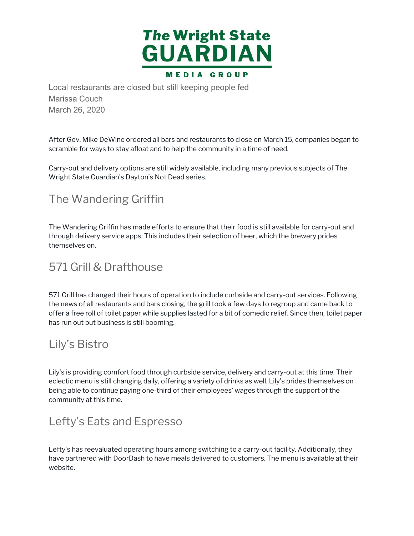

Local restaurants are closed but still keeping people fed Marissa Couch March 26, 2020

 After Gov. Mike DeWine ordered all bars and restaurants to close on March 15, companies began to scramble for ways to stay afloat and to help the community in a time of need.

 Carry-out and delivery options are still widely available, including many previous subjects of The Wright State Guardian's Dayton's Not Dead series.

# The Wandering Griffin

 The Wandering Griffin has made efforts to ensure that their food is still available for carry-out and through delivery service apps. This includes their selection of beer, which the brewery prides themselves on.

# 571 Grill & Drafthouse

 571 Grill has changed their hours of operation to include curbside and carry-out services. Following the news of all restaurants and bars closing, the grill took a few days to regroup and came back to offer a free roll of toilet paper while supplies lasted for a bit of comedic relief. Since then, toilet paper has run out but business is still booming.

# Lily's Bistro

 Lily's is providing comfort food through curbside service, delivery and carry-out at this time. Their eclectic menu is still changing daily, offering a variety of drinks as well. Lily's prides themselves on being able to continue paying one-third of their employees' wages through the support of the community at this time.

# Lefty's Eats and Espresso

 Lefty's has reevaluated operating hours among switching to a carry-out facility. Additionally, they have partnered with DoorDash to have meals delivered to customers. The menu is available at their website.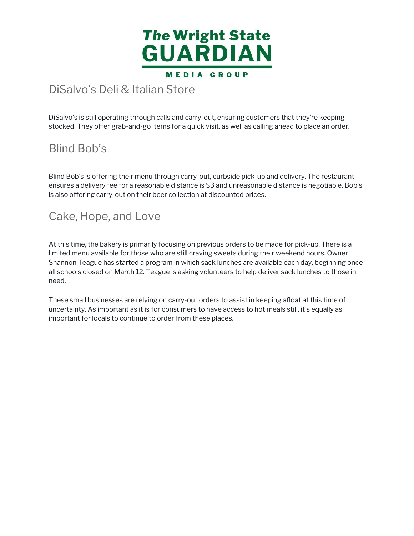

# DiSalvo's Deli & Italian Store

 DiSalvo's is still operating through calls and carry-out, ensuring customers that they're keeping stocked. They offer grab-and-go items for a quick visit, as well as calling ahead to place an order.

# Blind Bob's

 Blind Bob's is offering their menu through carry-out, curbside pick-up and delivery. The restaurant ensures a delivery fee for a reasonable distance is \$3 and unreasonable distance is negotiable. Bob's is also offering carry-out on their beer collection at discounted prices.

# Cake, Hope, and Love

 At this time, the bakery is primarily focusing on previous orders to be made for pick-up. There is a limited menu available for those who are still craving sweets during their weekend hours. Owner Shannon Teague has started a program in which sack lunches are available each day, beginning once all schools closed on March 12. Teague is asking volunteers to help deliver sack lunches to those in need.

 These small businesses are relying on carry-out orders to assist in keeping afloat at this time of uncertainty. As important as it is for consumers to have access to hot meals still, it's equally as important for locals to continue to order from these places.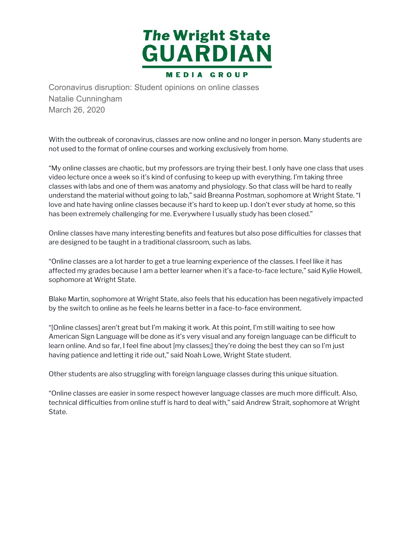

Coronavirus disruption: Student opinions on online classes Natalie Cunningham March 26, 2020

 With the outbreak of coronavirus, classes are now online and no longer in person. Many students are not used to the format of online courses and working exclusively from home.

 "My online classes are chaotic, but my professors are trying their best. I only have one class that uses video lecture once a week so it's kind of confusing to keep up with everything. I'm taking three classes with labs and one of them was anatomy and physiology. So that class will be hard to really understand the material without going to lab," said Breanna Postman, sophomore at Wright State. "I love and hate having online classes because it's hard to keep up. I don't ever study at home, so this has been extremely challenging for me. Everywhere I usually study has been closed."

 Online classes have many interesting benefits and features but also pose difficulties for classes that are designed to be taught in a traditional classroom, such as labs.

 "Online classes are a lot harder to get a true learning experience of the classes. I feel like it has affected my grades because I am a better learner when it's a face-to-face lecture," said Kylie Howell, sophomore at Wright State.

 Blake Martin, sophomore at Wright State, also feels that his education has been negatively impacted by the switch to online as he feels he learns better in a face-to-face environment.

 "[Online classes] aren't great but I'm making it work. At this point, I'm still waiting to see how American Sign Language will be done as it's very visual and any foreign language can be difficult to learn online. And so far, I feel fine about [my classes;] they're doing the best they can so I'm just having patience and letting it ride out," said Noah Lowe, Wright State student.

Other students are also struggling with foreign language classes during this unique situation.

 "Online classes are easier in some respect however language classes are much more difficult. Also, technical difficulties from online stuff is hard to deal with," said Andrew Strait, sophomore at Wright State.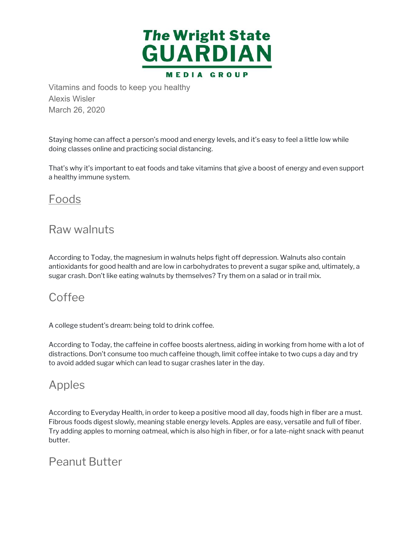

Vitamins and foods to keep you healthy Alexis Wisler March 26, 2020

 Staying home can affect a person's mood and energy levels, and it's easy to feel a little low while doing classes online and practicing social distancing.

 That's why it's important to eat foods and take vitamins that give a boost of energy and even support a healthy immune system.

### Foods

# Raw walnuts

 According to Today, the magnesium in walnuts helps fight off depression. Walnuts also contain antioxidants for good health and are low in carbohydrates to prevent a sugar spike and, ultimately, a sugar crash. Don't like eating walnuts by themselves? Try them on a salad or in trail mix.

# Coffee

A college student's dream: being told to drink coffee.

 According to Today, the caffeine in coffee boosts alertness, aiding in working from home with a lot of distractions. Don't consume too much caffeine though, limit coffee intake to two cups a day and try to avoid added sugar which can lead to sugar crashes later in the day.

# Apples

 According to Everyday Health, in order to keep a positive mood all day, foods high in fiber are a must. Fibrous foods digest slowly, meaning stable energy levels. Apples are easy, versatile and full of fiber. Try adding apples to morning oatmeal, which is also high in fiber, or for a late-night snack with peanut butter.

# Peanut Butter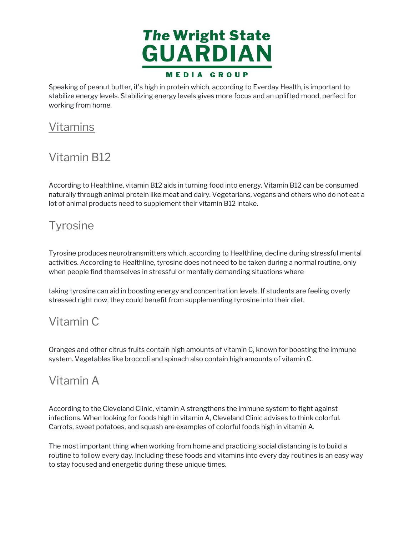

 Speaking of peanut butter, it's high in protein which, according to Everday Health, is important to stabilize energy levels. Stabilizing energy levels gives more focus and an uplifted mood, perfect for working from home.

# Vitamins

# Vitamin B12

 According to Healthline, vitamin B12 aids in turning food into energy. Vitamin B12 can be consumed naturally through animal protein like meat and dairy. Vegetarians, vegans and others who do not eat a lot of animal products need to supplement their vitamin B12 intake.

# **Tyrosine**

 Tyrosine produces neurotransmitters which, according to Healthline, decline during stressful mental activities. According to Healthline, tyrosine does not need to be taken during a normal routine, only when people find themselves in stressful or mentally demanding situations where

 taking tyrosine can aid in boosting energy and concentration levels. If students are feeling overly stressed right now, they could benefit from supplementing tyrosine into their diet.

# Vitamin C

 Oranges and other citrus fruits contain high amounts of vitamin C, known for boosting the immune system. Vegetables like broccoli and spinach also contain high amounts of vitamin C.

# Vitamin A

 According to the Cleveland Clinic, vitamin A strengthens the immune system to fight against infections. When looking for foods high in vitamin A, Cleveland Clinic advises to think colorful. Carrots, sweet potatoes, and squash are examples of colorful foods high in vitamin A.

 The most important thing when working from home and practicing social distancing is to build a routine to follow every day. Including these foods and vitamins into every day routines is an easy way to stay focused and energetic during these unique times.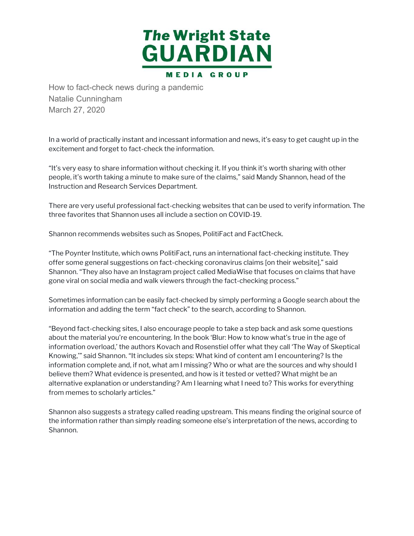

How to fact-check news during a pandemic Natalie Cunningham March 27, 2020

 In a world of practically instant and incessant information and news, it's easy to get caught up in the excitement and forget to fact-check the information.

 "It's very easy to share information without checking it. If you think it's worth sharing with other people, it's worth taking a minute to make sure of the claims," said Mandy Shannon, head of the Instruction and Research Services Department.

 There are very useful professional fact-checking websites that can be used to verify information. The three favorites that Shannon uses all include a section on COVID-19.

Shannon recommends websites such as Snopes, PolitiFact and FactCheck.

 "The Poynter Institute, which owns PolitiFact, runs an international fact-checking institute. They offer some general suggestions on fact-checking coronavirus claims [on their website]," said Shannon. "They also have an Instagram project called MediaWise that focuses on claims that have gone viral on social media and walk viewers through the fact-checking process."

 Sometimes information can be easily fact-checked by simply performing a Google search about the information and adding the term "fact check" to the search, according to Shannon.

 "Beyond fact-checking sites, I also encourage people to take a step back and ask some questions about the material you're encountering. In the book 'Blur: How to know what's true in the age of information overload,' the authors Kovach and Rosenstiel offer what they call 'The Way of Skeptical Knowing,'" said Shannon. "It includes six steps: What kind of content am I encountering? Is the information complete and, if not, what am I missing? Who or what are the sources and why should I believe them? What evidence is presented, and how is it tested or vetted? What might be an alternative explanation or understanding? Am I learning what I need to? This works for everything from memes to scholarly articles."

 Shannon also suggests a strategy called reading upstream. This means finding the original source of the information rather than simply reading someone else's interpretation of the news, according to Shannon.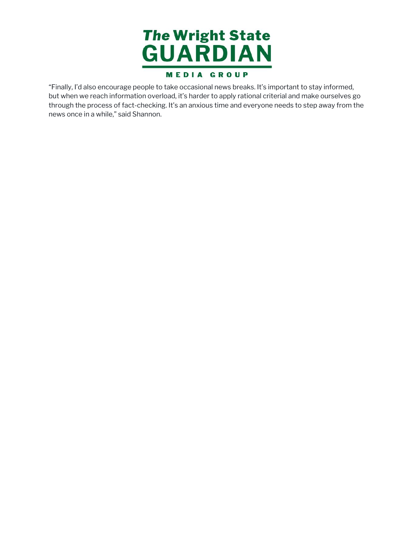

 "Finally, I'd also encourage people to take occasional news breaks. It's important to stay informed, but when we reach information overload, it's harder to apply rational criterial and make ourselves go through the process of fact-checking. It's an anxious time and everyone needs to step away from the news once in a while," said Shannon.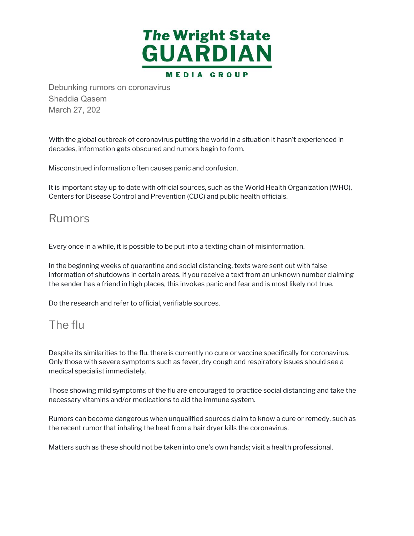

Debunking rumors on coronavirus Shaddia Qasem March 27, 202

 With the global outbreak of coronavirus putting the world in a situation it hasn't experienced in decades, information gets obscured and rumors begin to form.

Misconstrued information often causes panic and confusion.

 It is important stay up to date with official sources, such as the World Health Organization (WHO), Centers for Disease Control and Prevention (CDC) and public health officials.

### Rumors

Every once in a while, it is possible to be put into a texting chain of misinformation.

 In the beginning weeks of quarantine and social distancing, texts were sent out with false information of shutdowns in certain areas. If you receive a text from an unknown number claiming the sender has a friend in high places, this invokes panic and fear and is most likely not true.

Do the research and refer to official, verifiable sources.

# The flu

 Despite its similarities to the flu, there is currently no cure or vaccine specifically for coronavirus. Only those with severe symptoms such as fever, dry cough and respiratory issues should see a medical specialist immediately.

 Those showing mild symptoms of the flu are encouraged to practice social distancing and take the necessary vitamins and/or medications to aid the immune system.

 Rumors can become dangerous when unqualified sources claim to know a cure or remedy, such as the recent rumor that inhaling the heat from a hair dryer kills the coronavirus.

Matters such as these should not be taken into one's own hands; visit a health professional.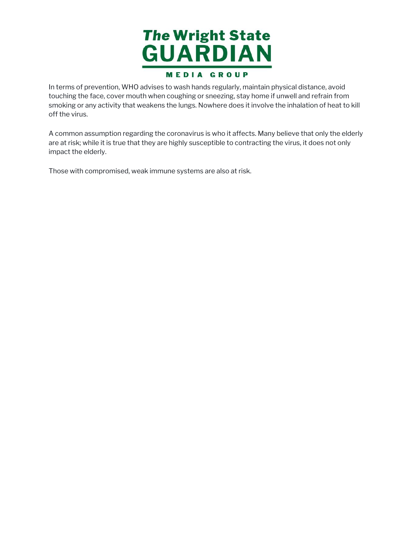

 In terms of prevention, WHO advises to wash hands regularly, maintain physical distance, avoid touching the face, cover mouth when coughing or sneezing, stay home if unwell and refrain from smoking or any activity that weakens the lungs. Nowhere does it involve the inhalation of heat to kill off the virus.

 A common assumption regarding the coronavirus is who it affects. Many believe that only the elderly are at risk; while it is true that they are highly susceptible to contracting the virus, it does not only impact the elderly.

Those with compromised, weak immune systems are also at risk.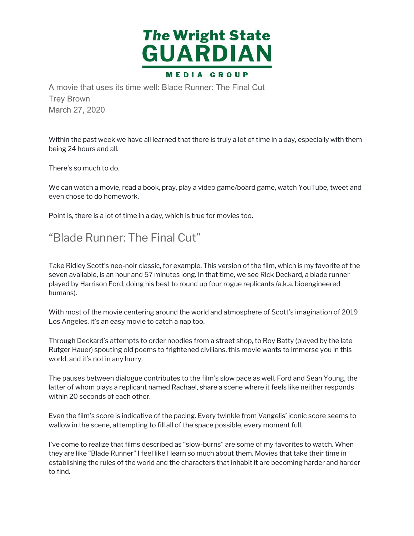

A movie that uses its time well: Blade Runner: The Final Cut Trey Brown March 27, 2020

 Within the past week we have all learned that there is truly a lot of time in a day, especially with them being 24 hours and all.

There's so much to do.

 We can watch a movie, read a book, pray, play a video game/board game, watch YouTube, tweet and even chose to do homework.

Point is, there is a lot of time in a day, which is true for movies too.

# "Blade Runner: The Final Cut"

 Take Ridley Scott's neo-noir classic, for example. This version of the film, which is my favorite of the seven available, is an hour and 57 minutes long. In that time, we see Rick Deckard, a blade runner played by Harrison Ford, doing his best to round up four rogue replicants (a.k.a. bioengineered humans).

 With most of the movie centering around the world and atmosphere of Scott's imagination of 2019 Los Angeles, it's an easy movie to catch a nap too.

 Through Deckard's attempts to order noodles from a street shop, to Roy Batty (played by the late Rutger Hauer) spouting old poems to frightened civilians, this movie wants to immerse you in this world, and it's not in any hurry.

 The pauses between dialogue contributes to the film's slow pace as well. Ford and Sean Young, the latter of whom plays a replicant named Rachael, share a scene where it feels like neither responds within 20 seconds of each other.

 Even the film's score is indicative of the pacing. Every twinkle from Vangelis' iconic score seems to wallow in the scene, attempting to fill all of the space possible, every moment full.

 I've come to realize that films described as "slow-burns" are some of my favorites to watch. When they are like "Blade Runner" I feel like I learn so much about them. Movies that take their time in establishing the rules of the world and the characters that inhabit it are becoming harder and harder to find.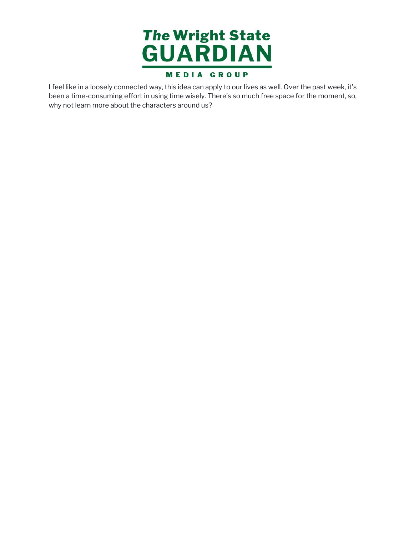

 I feel like in a loosely connected way, this idea can apply to our lives as well. Over the past week, it's been a time-consuming effort in using time wisely. There's so much free space for the moment, so, why not learn more about the characters around us?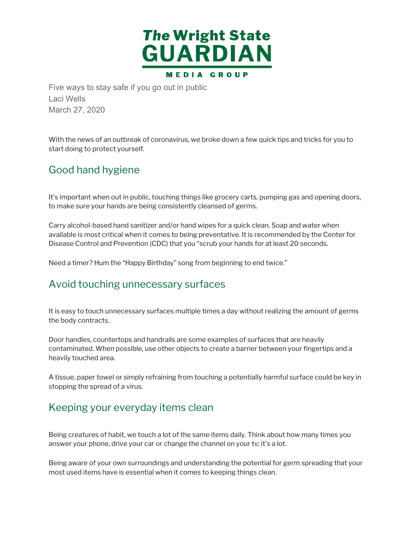

Five ways to stay safe if you go out in public Laci Wells March 27, 2020

 With the news of an outbreak of coronavirus, we broke down a few quick tips and tricks for you to start doing to protect yourself.

### Good hand hygiene

 It's important when out in public, touching things like grocery carts, pumping gas and opening doors, to make sure your hands are being consistently cleansed of germs.

 Carry alcohol-based hand sanitizer and/or hand wipes for a quick clean. Soap and water when available is most critical when it comes to being preventative. It is recommended by the Center for Disease Control and Prevention (CDC) that you "scrub your hands for at least 20 seconds.

Need a timer? Hum the "Happy Birthday" song from beginning to end twice."

#### Avoid touching unnecessary surfaces

 It is easy to touch unnecessary surfaces multiple times a day without realizing the amount of germs the body contracts.

 Door handles, countertops and handrails are some examples of surfaces that are heavily contaminated. When possible, use other objects to create a barrier between your fingertips and a heavily touched area.

 A tissue, paper towel or simply refraining from touching a potentially harmful surface could be key in stopping the spread of a virus.

#### Keeping your everyday items clean

 Being creatures of habit, we touch a lot of the same items daily. Think about how many times you answer your phone, drive your car or change the channel on your tv; it's a lot.

 Being aware of your own surroundings and understanding the potential for germ spreading that your most used items have is essential when it comes to keeping things clean.